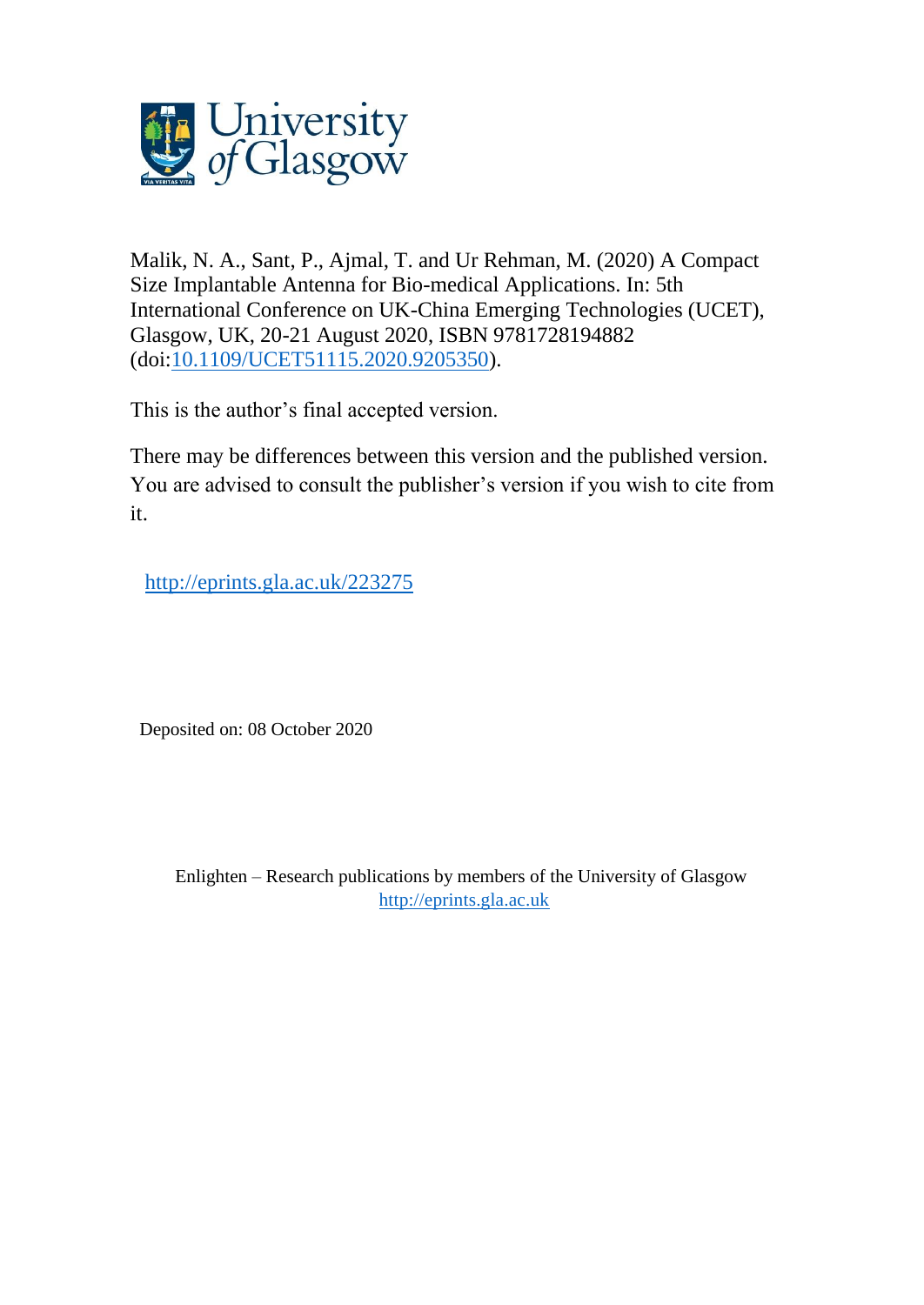

Malik, N. A., Sant, P., Ajmal, T. and Ur Rehman, M. (2020) A Compact Size Implantable Antenna for Bio-medical Applications. In: 5th International Conference on UK-China Emerging Technologies (UCET), Glasgow, UK, 20-21 August 2020, ISBN 9781728194882 (doi[:10.1109/UCET51115.2020.9205350\)](http://dx.doi.org/10.1109/UCET51115.2020.9205350).

This is the author's final accepted version.

There may be differences between this version and the published version. You are advised to consult the publisher's version if you wish to cite from it.

[http://eprints.gla.ac.uk/223275](http://eprints.gla.ac.uk/182285) 

Deposited on: 08 October 2020

Enlighten – Research publications by members of the University of Glasgow [http://eprints.gla.ac.uk](http://eprints.gla.ac.uk/)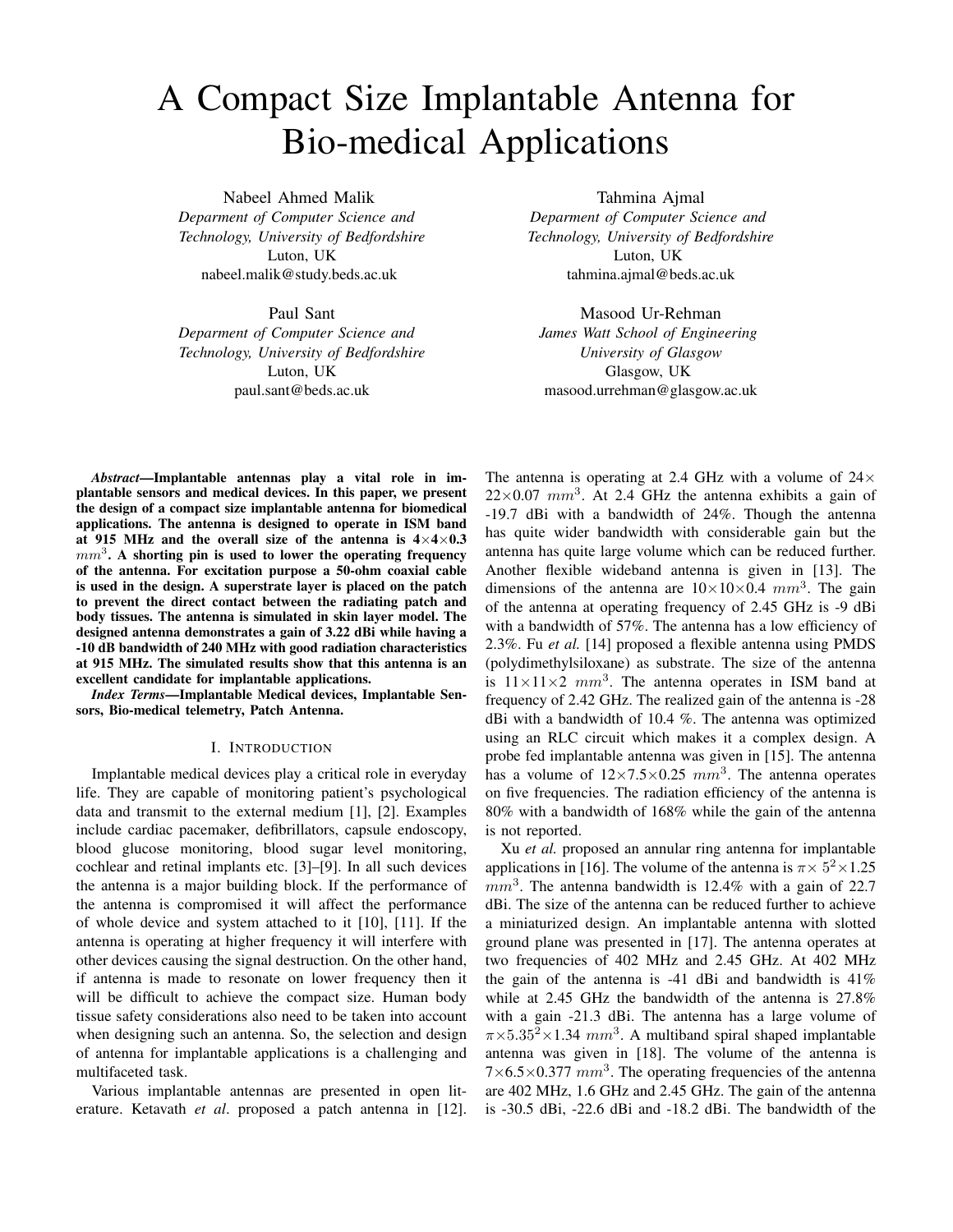# A Compact Size Implantable Antenna for Bio-medical Applications

Nabeel Ahmed Malik *Deparment of Computer Science and Technology, University of Bedfordshire* Luton, UK nabeel.malik@study.beds.ac.uk

Paul Sant

*Deparment of Computer Science and Technology, University of Bedfordshire* Luton, UK paul.sant@beds.ac.uk

Tahmina Ajmal

*Deparment of Computer Science and Technology, University of Bedfordshire* Luton, UK tahmina.ajmal@beds.ac.uk

Masood Ur-Rehman *James Watt School of Engineering University of Glasgow* Glasgow, UK masood.urrehman@glasgow.ac.uk

*Abstract*—Implantable antennas play a vital role in implantable sensors and medical devices. In this paper, we present the design of a compact size implantable antenna for biomedical applications. The antenna is designed to operate in ISM band at 915 MHz and the overall size of the antenna is  $4 \times 4 \times 0.3$  $mm<sup>3</sup>$ . A shorting pin is used to lower the operating frequency of the antenna. For excitation purpose a 50-ohm coaxial cable is used in the design. A superstrate layer is placed on the patch to prevent the direct contact between the radiating patch and body tissues. The antenna is simulated in skin layer model. The designed antenna demonstrates a gain of 3.22 dBi while having a -10 dB bandwidth of 240 MHz with good radiation characteristics at 915 MHz. The simulated results show that this antenna is an excellent candidate for implantable applications.

*Index Terms*—Implantable Medical devices, Implantable Sensors, Bio-medical telemetry, Patch Antenna.

#### I. INTRODUCTION

Implantable medical devices play a critical role in everyday life. They are capable of monitoring patient's psychological data and transmit to the external medium [1], [2]. Examples include cardiac pacemaker, defibrillators, capsule endoscopy, blood glucose monitoring, blood sugar level monitoring, cochlear and retinal implants etc. [3]–[9]. In all such devices the antenna is a major building block. If the performance of the antenna is compromised it will affect the performance of whole device and system attached to it [10], [11]. If the antenna is operating at higher frequency it will interfere with other devices causing the signal destruction. On the other hand, if antenna is made to resonate on lower frequency then it will be difficult to achieve the compact size. Human body tissue safety considerations also need to be taken into account when designing such an antenna. So, the selection and design of antenna for implantable applications is a challenging and multifaceted task.

Various implantable antennas are presented in open literature. Ketavath *et al*. proposed a patch antenna in [12]. The antenna is operating at 2.4 GHz with a volume of  $24\times$  $22\times0.07$  mm<sup>3</sup>. At 2.4 GHz the antenna exhibits a gain of -19.7 dBi with a bandwidth of 24%. Though the antenna has quite wider bandwidth with considerable gain but the antenna has quite large volume which can be reduced further. Another flexible wideband antenna is given in [13]. The dimensions of the antenna are  $10\times10\times0.4$  mm<sup>3</sup>. The gain of the antenna at operating frequency of 2.45 GHz is -9 dBi with a bandwidth of 57%. The antenna has a low efficiency of 2.3%. Fu *et al.* [14] proposed a flexible antenna using PMDS (polydimethylsiloxane) as substrate. The size of the antenna is  $11 \times 11 \times 2$  mm<sup>3</sup>. The antenna operates in ISM band at frequency of 2.42 GHz. The realized gain of the antenna is -28 dBi with a bandwidth of 10.4 %. The antenna was optimized using an RLC circuit which makes it a complex design. A probe fed implantable antenna was given in [15]. The antenna has a volume of  $12\times7.5\times0.25$   $mm^3$ . The antenna operates on five frequencies. The radiation efficiency of the antenna is 80% with a bandwidth of 168% while the gain of the antenna is not reported.

Xu *et al.* proposed an annular ring antenna for implantable applications in [16]. The volume of the antenna is  $\pi \times 5^2 \times 1.25$  $mm<sup>3</sup>$ . The antenna bandwidth is 12.4% with a gain of 22.7 dBi. The size of the antenna can be reduced further to achieve a miniaturized design. An implantable antenna with slotted ground plane was presented in [17]. The antenna operates at two frequencies of 402 MHz and 2.45 GHz. At 402 MHz the gain of the antenna is -41 dBi and bandwidth is 41% while at 2.45 GHz the bandwidth of the antenna is 27.8% with a gain -21.3 dBi. The antenna has a large volume of  $\pi \times 5.35^2 \times 1.34$   $mm^3$ . A multiband spiral shaped implantable antenna was given in [18]. The volume of the antenna is  $7\times 6.5\times 0.377$   $mm^3$ . The operating frequencies of the antenna are 402 MHz, 1.6 GHz and 2.45 GHz. The gain of the antenna is -30.5 dBi, -22.6 dBi and -18.2 dBi. The bandwidth of the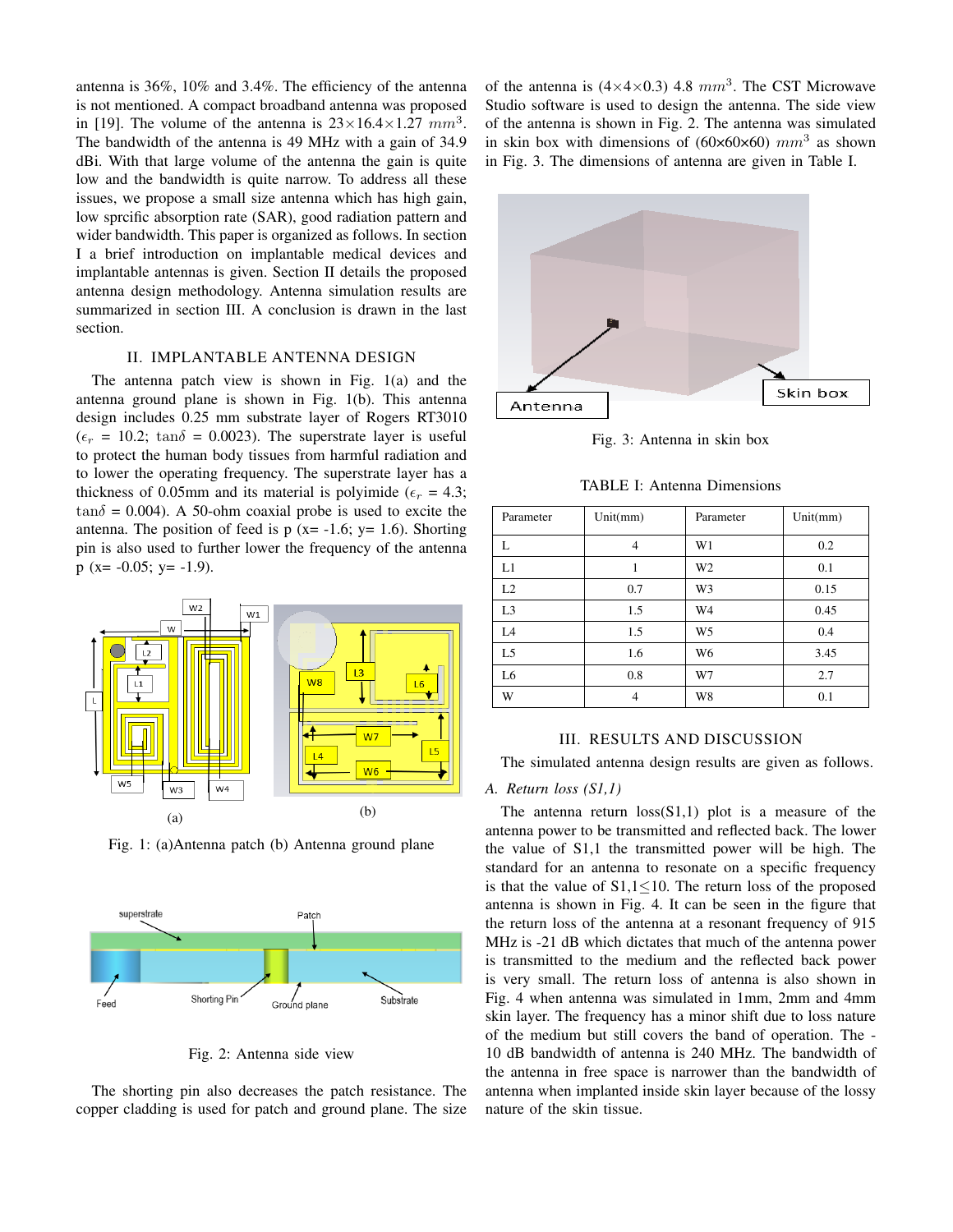antenna is 36%, 10% and 3.4%. The efficiency of the antenna is not mentioned. A compact broadband antenna was proposed in [19]. The volume of the antenna is  $23\times16.4\times1.27$   $mm^3$ . The bandwidth of the antenna is 49 MHz with a gain of 34.9 dBi. With that large volume of the antenna the gain is quite low and the bandwidth is quite narrow. To address all these issues, we propose a small size antenna which has high gain, low sprcific absorption rate (SAR), good radiation pattern and wider bandwidth. This paper is organized as follows. In section I a brief introduction on implantable medical devices and implantable antennas is given. Section II details the proposed antenna design methodology. Antenna simulation results are summarized in section III. A conclusion is drawn in the last section.

# II. IMPLANTABLE ANTENNA DESIGN

The antenna patch view is shown in Fig. 1(a) and the antenna ground plane is shown in Fig. 1(b). This antenna design includes 0.25 mm substrate layer of Rogers RT3010  $(\epsilon_r = 10.2; \tan\delta = 0.0023)$ . The superstrate layer is useful to protect the human body tissues from harmful radiation and to lower the operating frequency. The superstrate layer has a thickness of 0.05mm and its material is polyimide ( $\epsilon_r = 4.3$ ;  $tan\delta = 0.004$ ). A 50-ohm coaxial probe is used to excite the antenna. The position of feed is  $p$  (x= -1.6; y= 1.6). Shorting pin is also used to further lower the frequency of the antenna  $p$  (x=  $-0.05$ ; y=  $-1.9$ ).



Fig. 1: (a)Antenna patch (b) Antenna ground plane



Fig. 2: Antenna side view

The shorting pin also decreases the patch resistance. The copper cladding is used for patch and ground plane. The size

of the antenna is  $(4 \times 4 \times 0.3)$  4.8  $mm<sup>3</sup>$ . The CST Microwave Studio software is used to design the antenna. The side view of the antenna is shown in Fig. 2. The antenna was simulated in skin box with dimensions of  $(60 \times 60 \times 60)$  mm<sup>3</sup> as shown in Fig. 3. The dimensions of antenna are given in Table I.



Fig. 3: Antenna in skin box

TABLE I: Antenna Dimensions

| Parameter      | Unit(mm)<br>Parameter |                | Unit(mm) |
|----------------|-----------------------|----------------|----------|
| L              | 4                     | W1             | 0.2      |
| L1             | 1                     | W <sub>2</sub> | 0.1      |
| L2             | 0.7                   | W <sub>3</sub> | 0.15     |
| L <sub>3</sub> | 1.5                   | W4             | 0.45     |
| L <sub>4</sub> | 1.5                   | W <sub>5</sub> | 0.4      |
| L <sub>5</sub> | 1.6                   | W <sub>6</sub> | 3.45     |
| L <sub>6</sub> | 0.8                   | W7             | 2.7      |
| W              | $\overline{4}$        | W8             | 0.1      |

#### III. RESULTS AND DISCUSSION

The simulated antenna design results are given as follows.

## *A. Return loss (S1,1)*

The antenna return  $loss(S1,1)$  plot is a measure of the antenna power to be transmitted and reflected back. The lower the value of S1,1 the transmitted power will be high. The standard for an antenna to resonate on a specific frequency is that the value of S1,1≤10. The return loss of the proposed antenna is shown in Fig. 4. It can be seen in the figure that the return loss of the antenna at a resonant frequency of 915 MHz is -21 dB which dictates that much of the antenna power is transmitted to the medium and the reflected back power is very small. The return loss of antenna is also shown in Fig. 4 when antenna was simulated in 1mm, 2mm and 4mm skin layer. The frequency has a minor shift due to loss nature of the medium but still covers the band of operation. The - 10 dB bandwidth of antenna is 240 MHz. The bandwidth of the antenna in free space is narrower than the bandwidth of antenna when implanted inside skin layer because of the lossy nature of the skin tissue.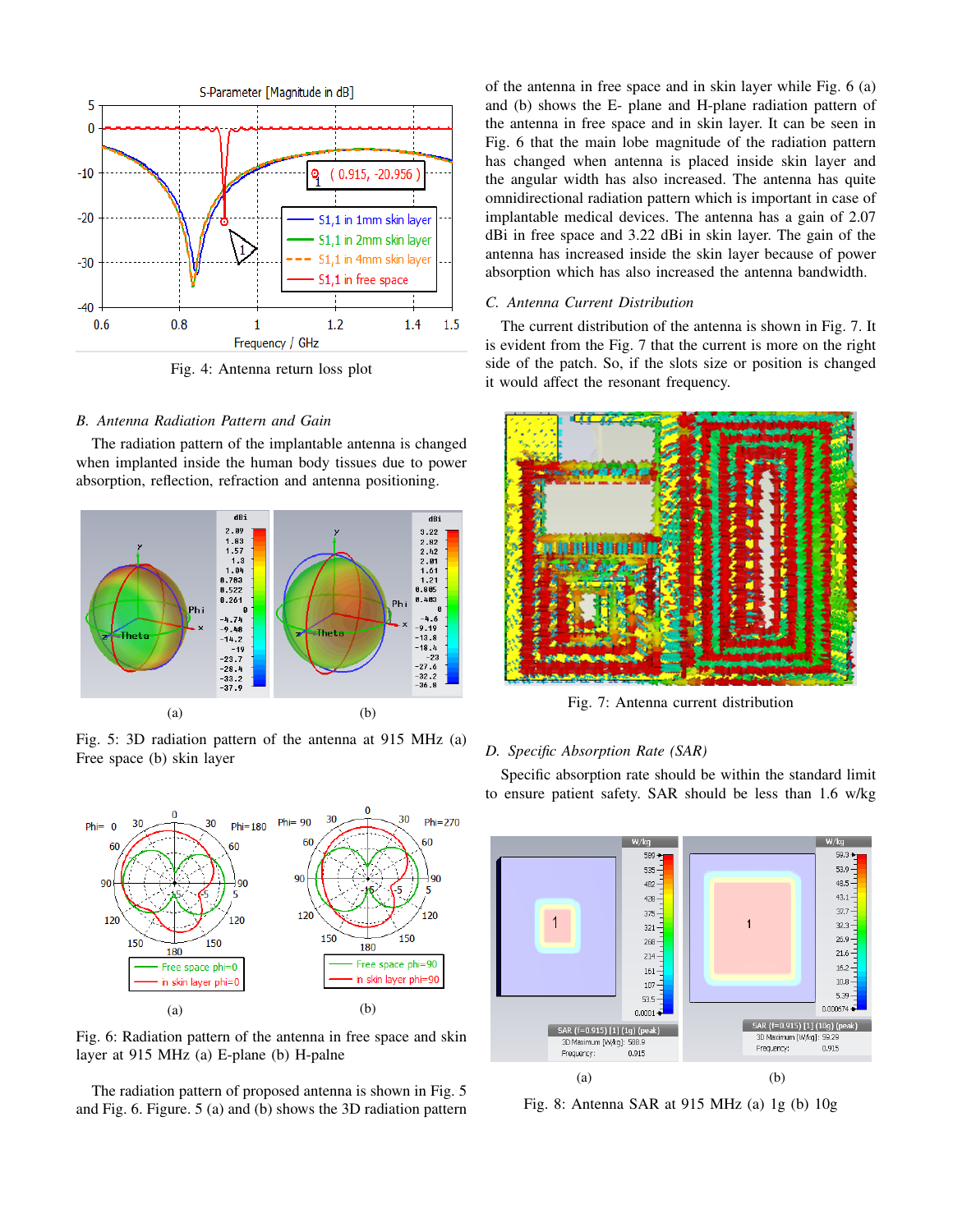

Fig. 4: Antenna return loss plot

### *B. Antenna Radiation Pattern and Gain*

The radiation pattern of the implantable antenna is changed when implanted inside the human body tissues due to power absorption, reflection, refraction and antenna positioning.



Fig. 5: 3D radiation pattern of the antenna at 915 MHz (a) Free space (b) skin layer



Fig. 6: Radiation pattern of the antenna in free space and skin layer at 915 MHz (a) E-plane (b) H-palne

The radiation pattern of proposed antenna is shown in Fig. 5 and Fig. 6. Figure. 5 (a) and (b) shows the 3D radiation pattern of the antenna in free space and in skin layer while Fig. 6 (a) and (b) shows the E- plane and H-plane radiation pattern of the antenna in free space and in skin layer. It can be seen in Fig. 6 that the main lobe magnitude of the radiation pattern has changed when antenna is placed inside skin layer and the angular width has also increased. The antenna has quite omnidirectional radiation pattern which is important in case of implantable medical devices. The antenna has a gain of 2.07 dBi in free space and 3.22 dBi in skin layer. The gain of the antenna has increased inside the skin layer because of power absorption which has also increased the antenna bandwidth.

#### *C. Antenna Current Distribution*

The current distribution of the antenna is shown in Fig. 7. It is evident from the Fig. 7 that the current is more on the right side of the patch. So, if the slots size or position is changed it would affect the resonant frequency.



Fig. 7: Antenna current distribution

#### *D. Specific Absorption Rate (SAR)*

Specific absorption rate should be within the standard limit to ensure patient safety. SAR should be less than 1.6 w/kg



Fig. 8: Antenna SAR at 915 MHz (a) 1g (b) 10g